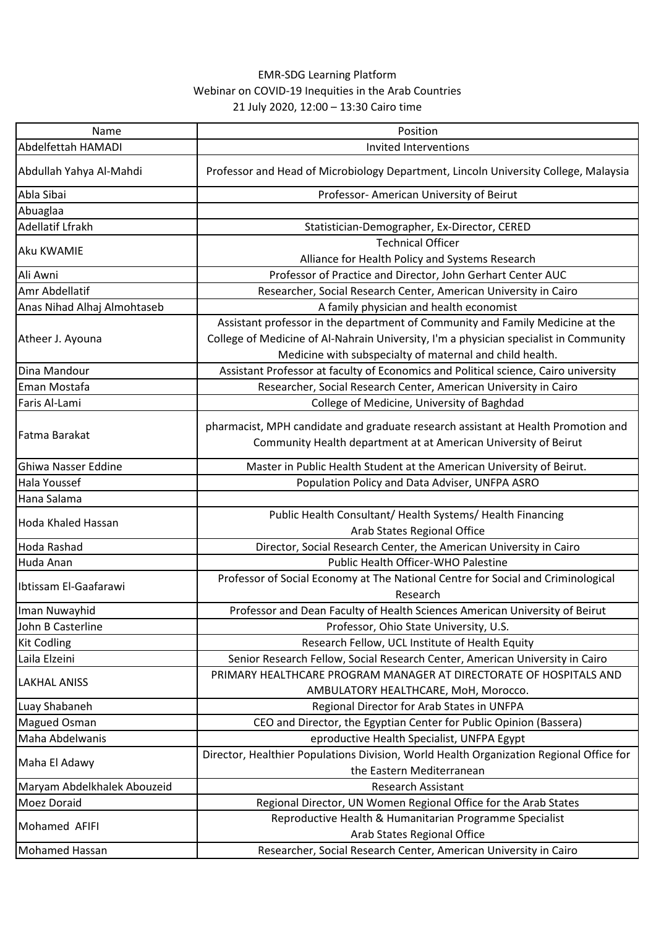## EMR-SDG Learning Platform Webinar on COVID-19 Inequities in the Arab Countries 21 July 2020, 12:00 – 13:30 Cairo time

| Name                        | Position                                                                                                                                                                                                                           |
|-----------------------------|------------------------------------------------------------------------------------------------------------------------------------------------------------------------------------------------------------------------------------|
| Abdelfettah HAMADI          | Invited Interventions                                                                                                                                                                                                              |
| Abdullah Yahya Al-Mahdi     | Professor and Head of Microbiology Department, Lincoln University College, Malaysia                                                                                                                                                |
| Abla Sibai                  | Professor- American University of Beirut                                                                                                                                                                                           |
| Abuaglaa                    |                                                                                                                                                                                                                                    |
| Adellatif Lfrakh            | Statistician-Demographer, Ex-Director, CERED                                                                                                                                                                                       |
| Aku KWAMIE                  | <b>Technical Officer</b>                                                                                                                                                                                                           |
|                             | Alliance for Health Policy and Systems Research                                                                                                                                                                                    |
| Ali Awni                    | Professor of Practice and Director, John Gerhart Center AUC                                                                                                                                                                        |
| Amr Abdellatif              | Researcher, Social Research Center, American University in Cairo                                                                                                                                                                   |
| Anas Nihad Alhaj Almohtaseb | A family physician and health economist                                                                                                                                                                                            |
| Atheer J. Ayouna            | Assistant professor in the department of Community and Family Medicine at the<br>College of Medicine of Al-Nahrain University, I'm a physician specialist in Community<br>Medicine with subspecialty of maternal and child health. |
| Dina Mandour                | Assistant Professor at faculty of Economics and Political science, Cairo university                                                                                                                                                |
| Eman Mostafa                | Researcher, Social Research Center, American University in Cairo                                                                                                                                                                   |
| Faris Al-Lami               | College of Medicine, University of Baghdad                                                                                                                                                                                         |
| Fatma Barakat               | pharmacist, MPH candidate and graduate research assistant at Health Promotion and                                                                                                                                                  |
|                             | Community Health department at at American University of Beirut                                                                                                                                                                    |
| Ghiwa Nasser Eddine         | Master in Public Health Student at the American University of Beirut.                                                                                                                                                              |
| <b>Hala Youssef</b>         | Population Policy and Data Adviser, UNFPA ASRO                                                                                                                                                                                     |
| Hana Salama                 |                                                                                                                                                                                                                                    |
| Hoda Khaled Hassan          | Public Health Consultant/ Health Systems/ Health Financing                                                                                                                                                                         |
|                             | Arab States Regional Office                                                                                                                                                                                                        |
| Hoda Rashad                 | Director, Social Research Center, the American University in Cairo                                                                                                                                                                 |
| Huda Anan                   | Public Health Officer-WHO Palestine                                                                                                                                                                                                |
| Ibtissam El-Gaafarawi       | Professor of Social Economy at The National Centre for Social and Criminological<br>Research                                                                                                                                       |
| Iman Nuwayhid               | Professor and Dean Faculty of Health Sciences American University of Beirut                                                                                                                                                        |
| John B Casterline           | Professor, Ohio State University, U.S.                                                                                                                                                                                             |
| <b>Kit Codling</b>          | Research Fellow, UCL Institute of Health Equity                                                                                                                                                                                    |
| Laila Elzeini               | Senior Research Fellow, Social Research Center, American University in Cairo                                                                                                                                                       |
| <b>LAKHAL ANISS</b>         | PRIMARY HEALTHCARE PROGRAM MANAGER AT DIRECTORATE OF HOSPITALS AND<br>AMBULATORY HEALTHCARE, MoH, Morocco.                                                                                                                         |
| Luay Shabaneh               | Regional Director for Arab States in UNFPA                                                                                                                                                                                         |
| <b>Magued Osman</b>         | CEO and Director, the Egyptian Center for Public Opinion (Bassera)                                                                                                                                                                 |
| Maha Abdelwanis             | eproductive Health Specialist, UNFPA Egypt                                                                                                                                                                                         |
| Maha El Adawy               | Director, Healthier Populations Division, World Health Organization Regional Office for                                                                                                                                            |
|                             | the Eastern Mediterranean                                                                                                                                                                                                          |
| Maryam Abdelkhalek Abouzeid | <b>Research Assistant</b>                                                                                                                                                                                                          |
| <b>Moez Doraid</b>          | Regional Director, UN Women Regional Office for the Arab States                                                                                                                                                                    |
| Mohamed AFIFI               | Reproductive Health & Humanitarian Programme Specialist<br>Arab States Regional Office                                                                                                                                             |
| <b>Mohamed Hassan</b>       | Researcher, Social Research Center, American University in Cairo                                                                                                                                                                   |
|                             |                                                                                                                                                                                                                                    |